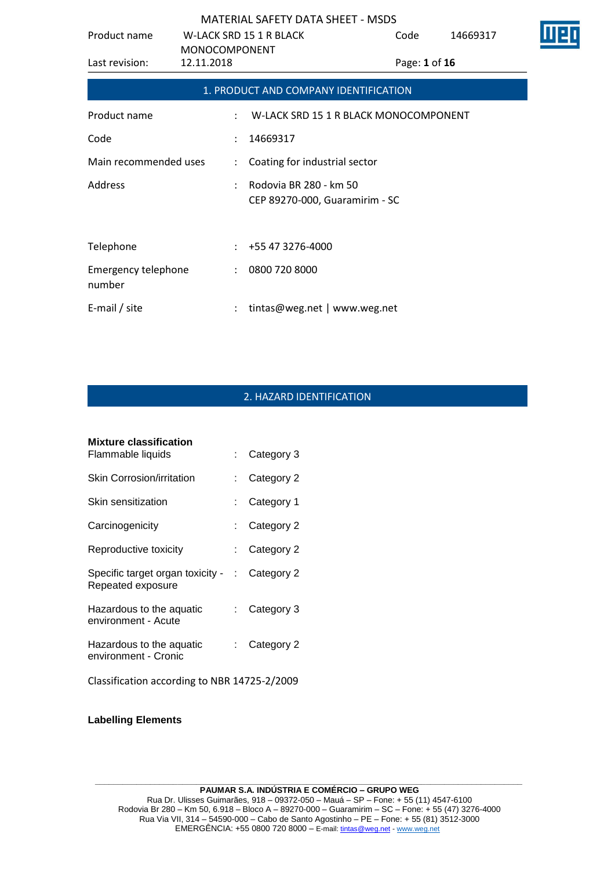| Product name                  | <b>MONOCOMPONENT</b> | <b>W-LACK SRD 15 1 R BLACK</b>                           | Code          | 14669317 |  |
|-------------------------------|----------------------|----------------------------------------------------------|---------------|----------|--|
| Last revision:                | 12.11.2018           |                                                          | Page: 1 of 16 |          |  |
|                               |                      | 1. PRODUCT AND COMPANY IDENTIFICATION                    |               |          |  |
| Product name                  |                      | W-LACK SRD 15 1 R BLACK MONOCOMPONENT                    |               |          |  |
| Code                          |                      | 14669317                                                 |               |          |  |
| Main recommended uses         |                      | Coating for industrial sector                            |               |          |  |
| Address                       |                      | Rodovia BR 280 - km 50<br>CEP 89270-000, Guaramirim - SC |               |          |  |
| Telephone                     |                      | $: +55473276-4000$                                       |               |          |  |
| Emergency telephone<br>number | $\ddot{\phantom{a}}$ | 0800 720 8000                                            |               |          |  |
| E-mail / site                 |                      | tintas@weg.net   www.weg.net                             |               |          |  |

## 2. HAZARD IDENTIFICATION

| <b>Mixture classification</b>                           |                           |            |
|---------------------------------------------------------|---------------------------|------------|
| Flammable liquids                                       | × 1                       | Category 3 |
| Skin Corrosion/irritation                               |                           | Category 2 |
| Skin sensitization                                      |                           | Category 1 |
| Carcinogenicity                                         |                           | Category 2 |
| Reproductive toxicity                                   |                           | Category 2 |
| Specific target organ toxicity - :<br>Repeated exposure |                           | Category 2 |
| Hazardous to the aquatic<br>environment - Acute         | $\mathbb{R}^{\mathbb{Z}}$ | Category 3 |
| Hazardous to the aquatic<br>environment - Cronic        |                           | Category 2 |
| Classification according to NBR 14725-2/2009            |                           |            |

**Labelling Elements**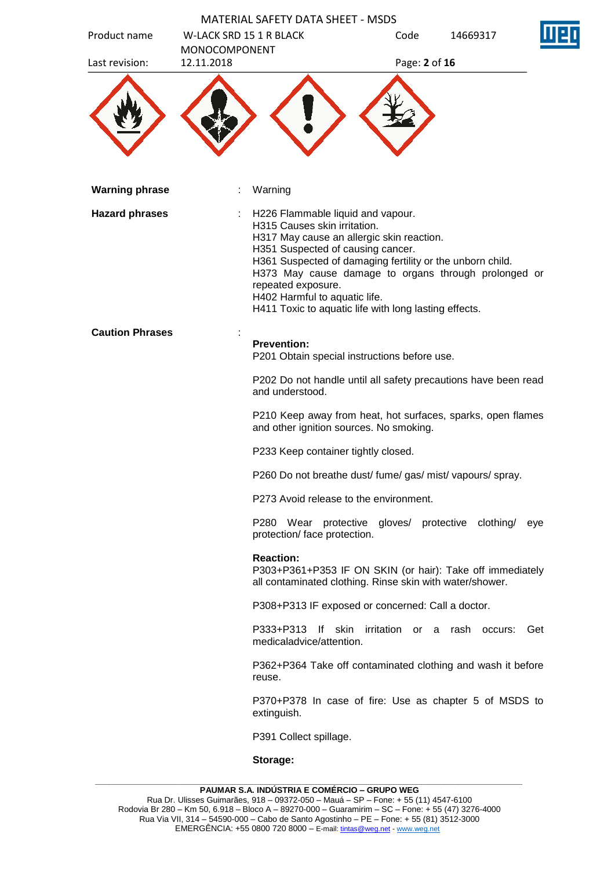| Product name           | <b>MATERIAL SAFETY DATA SHEET - MSDS</b><br><b>W-LACK SRD 15 1 R BLACK</b>                                                                                                                                                                                                                                                                                                               | Code          | 14669317                     |     |
|------------------------|------------------------------------------------------------------------------------------------------------------------------------------------------------------------------------------------------------------------------------------------------------------------------------------------------------------------------------------------------------------------------------------|---------------|------------------------------|-----|
| Last revision:         | <b>MONOCOMPONENT</b><br>12.11.2018                                                                                                                                                                                                                                                                                                                                                       | Page: 2 of 16 |                              |     |
|                        |                                                                                                                                                                                                                                                                                                                                                                                          |               |                              |     |
| <b>Warning phrase</b>  | Warning                                                                                                                                                                                                                                                                                                                                                                                  |               |                              |     |
| <b>Hazard phrases</b>  | H226 Flammable liquid and vapour.<br>H315 Causes skin irritation.<br>H317 May cause an allergic skin reaction.<br>H351 Suspected of causing cancer.<br>H361 Suspected of damaging fertility or the unborn child.<br>H373 May cause damage to organs through prolonged or<br>repeated exposure.<br>H402 Harmful to aquatic life.<br>H411 Toxic to aquatic life with long lasting effects. |               |                              |     |
| <b>Caution Phrases</b> |                                                                                                                                                                                                                                                                                                                                                                                          |               |                              |     |
|                        | <b>Prevention:</b><br>P201 Obtain special instructions before use.                                                                                                                                                                                                                                                                                                                       |               |                              |     |
|                        | P202 Do not handle until all safety precautions have been read<br>and understood.                                                                                                                                                                                                                                                                                                        |               |                              |     |
|                        | P210 Keep away from heat, hot surfaces, sparks, open flames<br>and other ignition sources. No smoking.                                                                                                                                                                                                                                                                                   |               |                              |     |
|                        | P233 Keep container tightly closed.                                                                                                                                                                                                                                                                                                                                                      |               |                              |     |
|                        | P260 Do not breathe dust/ fume/ gas/ mist/ vapours/ spray.                                                                                                                                                                                                                                                                                                                               |               |                              |     |
|                        | P273 Avoid release to the environment.                                                                                                                                                                                                                                                                                                                                                   |               |                              |     |
|                        | P280 Wear protective gloves/ protective clothing/<br>protection/ face protection.                                                                                                                                                                                                                                                                                                        |               |                              | eye |
|                        | <b>Reaction:</b><br>P303+P361+P353 IF ON SKIN (or hair): Take off immediately<br>all contaminated clothing. Rinse skin with water/shower.                                                                                                                                                                                                                                                |               |                              |     |
|                        | P308+P313 IF exposed or concerned: Call a doctor.                                                                                                                                                                                                                                                                                                                                        |               |                              |     |
|                        | P333+P313<br>- If<br>skin<br>medicaladvice/attention.                                                                                                                                                                                                                                                                                                                                    |               | irritation or a rash occurs: | Get |
|                        | P362+P364 Take off contaminated clothing and wash it before<br>reuse.                                                                                                                                                                                                                                                                                                                    |               |                              |     |
|                        | P370+P378 In case of fire: Use as chapter 5 of MSDS to<br>extinguish.                                                                                                                                                                                                                                                                                                                    |               |                              |     |
|                        | P391 Collect spillage.                                                                                                                                                                                                                                                                                                                                                                   |               |                              |     |
|                        | Storage:                                                                                                                                                                                                                                                                                                                                                                                 |               |                              |     |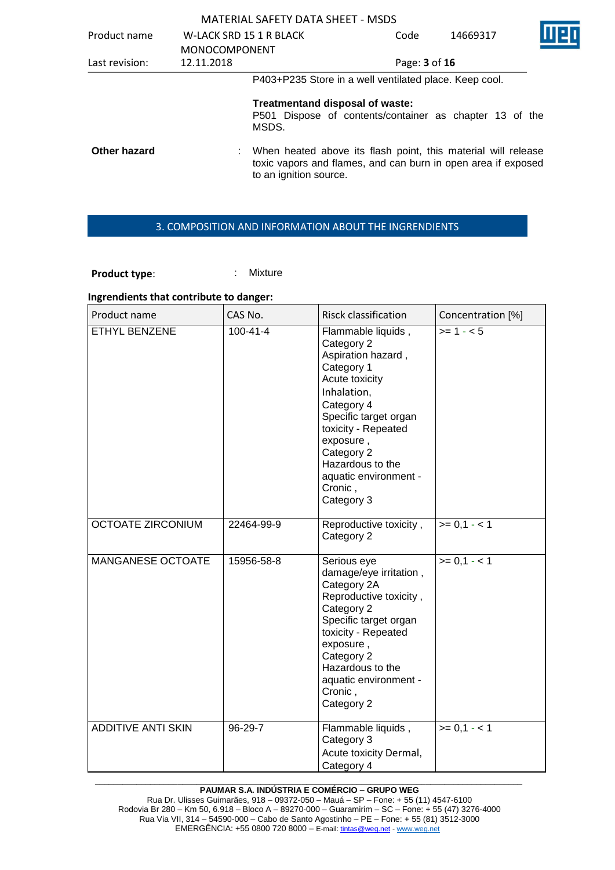|                |                                | <b>MATERIAL SAFETY DATA SHEET - MSDS</b> |                                                                                                                                |          |  |
|----------------|--------------------------------|------------------------------------------|--------------------------------------------------------------------------------------------------------------------------------|----------|--|
| Product name   | <b>W-LACK SRD 15 1 R BLACK</b> |                                          | Code                                                                                                                           | 14669317 |  |
|                | <b>MONOCOMPONENT</b>           |                                          |                                                                                                                                |          |  |
| Last revision: | 12.11.2018                     |                                          | Page: 3 of 16                                                                                                                  |          |  |
|                |                                |                                          | P403+P235 Store in a well ventilated place. Keep cool.                                                                         |          |  |
|                |                                | Treatmentand disposal of waste:<br>MSDS. | P501 Dispose of contents/container as chapter 13 of the                                                                        |          |  |
| Other hazard   |                                | to an ignition source.                   | When heated above its flash point, this material will release<br>toxic vapors and flames, and can burn in open area if exposed |          |  |

 $\overline{\mathbf{l}}$ 

### 3. COMPOSITION AND INFORMATION ABOUT THE INGRENDIENTS

Product type:  $\qquad \qquad$ : Mixture

#### **Ingrendients that contribute to danger:**

| Product name              | CAS No.        | <b>Risck classification</b>                                                                                                                                                                                                                                          | Concentration [%] |
|---------------------------|----------------|----------------------------------------------------------------------------------------------------------------------------------------------------------------------------------------------------------------------------------------------------------------------|-------------------|
| ETHYL BENZENE             | $100 - 41 - 4$ | Flammable liquids,<br>Category 2<br>Aspiration hazard,<br>Category 1<br>Acute toxicity<br>Inhalation,<br>Category 4<br>Specific target organ<br>toxicity - Repeated<br>exposure,<br>Category 2<br>Hazardous to the<br>aquatic environment -<br>Cronic,<br>Category 3 | $>= 1 - 5$        |
| <b>OCTOATE ZIRCONIUM</b>  | 22464-99-9     | Reproductive toxicity,<br>Category 2                                                                                                                                                                                                                                 | $>= 0,1 - 1$      |
| MANGANESE OCTOATE         | 15956-58-8     | Serious eye<br>damage/eye irritation,<br>Category 2A<br>Reproductive toxicity,<br>Category 2<br>Specific target organ<br>toxicity - Repeated<br>exposure,<br>Category 2<br>Hazardous to the<br>aquatic environment -<br>Cronic,<br>Category 2                        | $>= 0,1 - 1$      |
| <b>ADDITIVE ANTI SKIN</b> | 96-29-7        | Flammable liquids,<br>Category 3<br>Acute toxicity Dermal,<br>Category 4                                                                                                                                                                                             | $>= 0,1 - 1$      |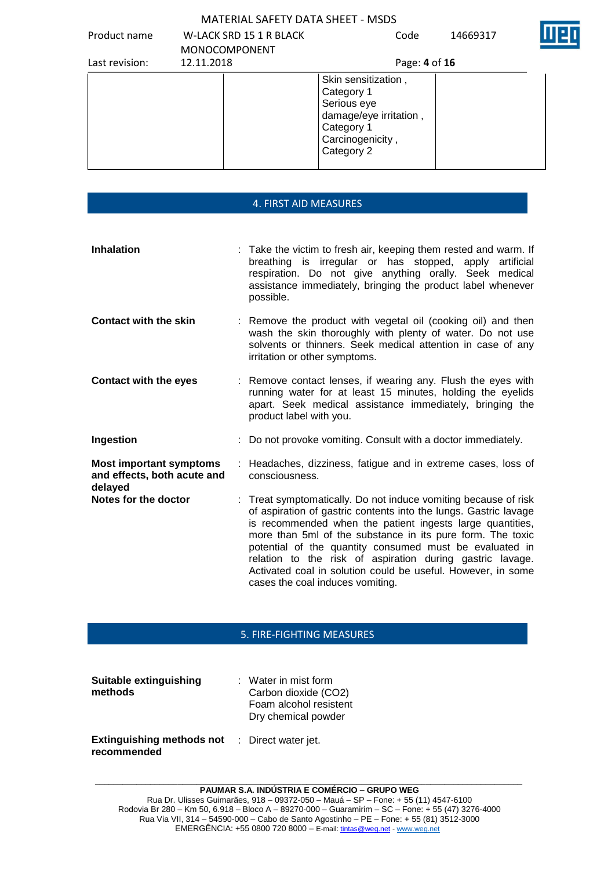| Product name   | W-LACK SRD 15 1 R BLACK<br><b>MONOCOMPONENT</b> | Code                                                                                                                       | 14669317 |  |
|----------------|-------------------------------------------------|----------------------------------------------------------------------------------------------------------------------------|----------|--|
| Last revision: | 12.11.2018                                      | Page: 4 of 16                                                                                                              |          |  |
|                |                                                 | Skin sensitization,<br>Category 1<br>Serious eye<br>damage/eye irritation,<br>Category 1<br>Carcinogenicity,<br>Category 2 |          |  |

|                                                                          | <b>4. FIRST AID MEASURES</b>                                                                                                                                                                                                                                                                                                                                                                                                                                                               |
|--------------------------------------------------------------------------|--------------------------------------------------------------------------------------------------------------------------------------------------------------------------------------------------------------------------------------------------------------------------------------------------------------------------------------------------------------------------------------------------------------------------------------------------------------------------------------------|
| <b>Inhalation</b>                                                        | : Take the victim to fresh air, keeping them rested and warm. If<br>breathing is irregular or has stopped, apply artificial                                                                                                                                                                                                                                                                                                                                                                |
|                                                                          | respiration. Do not give anything orally. Seek medical<br>assistance immediately, bringing the product label whenever<br>possible.                                                                                                                                                                                                                                                                                                                                                         |
| <b>Contact with the skin</b>                                             | : Remove the product with vegetal oil (cooking oil) and then<br>wash the skin thoroughly with plenty of water. Do not use<br>solvents or thinners. Seek medical attention in case of any<br>irritation or other symptoms.                                                                                                                                                                                                                                                                  |
| <b>Contact with the eyes</b>                                             | : Remove contact lenses, if wearing any. Flush the eyes with<br>running water for at least 15 minutes, holding the eyelids<br>apart. Seek medical assistance immediately, bringing the<br>product label with you.                                                                                                                                                                                                                                                                          |
| Ingestion                                                                | : Do not provoke vomiting. Consult with a doctor immediately.                                                                                                                                                                                                                                                                                                                                                                                                                              |
| <b>Most important symptoms</b><br>and effects, both acute and<br>delayed | : Headaches, dizziness, fatigue and in extreme cases, loss of<br>consciousness.                                                                                                                                                                                                                                                                                                                                                                                                            |
| Notes for the doctor                                                     | : Treat symptomatically. Do not induce vomiting because of risk<br>of aspiration of gastric contents into the lungs. Gastric lavage<br>is recommended when the patient ingests large quantities,<br>more than 5ml of the substance in its pure form. The toxic<br>potential of the quantity consumed must be evaluated in<br>relation to the risk of aspiration during gastric lavage.<br>Activated coal in solution could be useful. However, in some<br>cases the coal induces vomiting. |

## 5. FIRE-FIGHTING MEASURES

| Suitable extinguishing<br>methods               | $:$ Water in mist form<br>Carbon dioxide (CO2)<br>Foam alcohol resistent<br>Dry chemical powder |
|-------------------------------------------------|-------------------------------------------------------------------------------------------------|
| <b>Extinguishing methods not</b><br>recommended | : Direct water jet.                                                                             |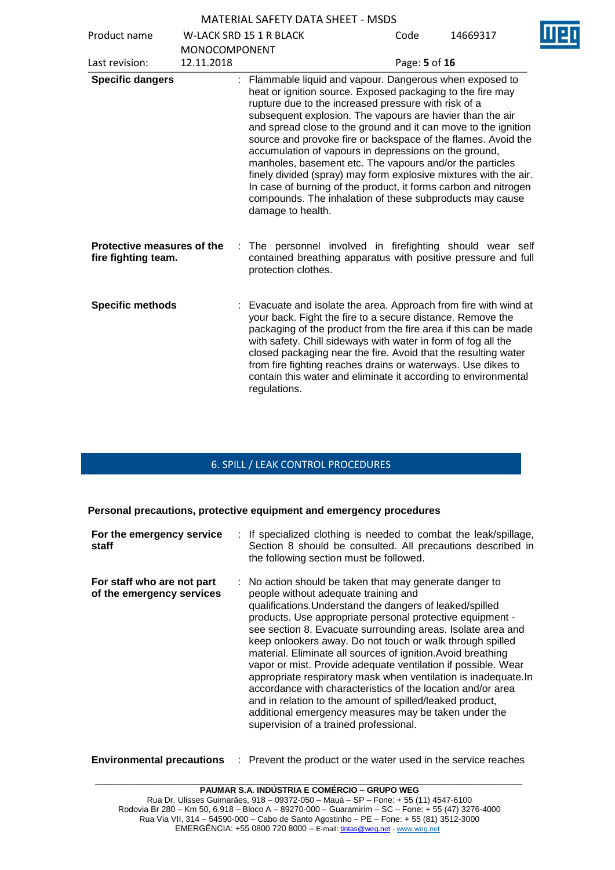| Product name                                      |                      | <b>W-LACK SRD 15 1 R BLACK</b>                                                                                                                                                                                                                                                                                                                                                                                                                                                                                                                                                                                                                                                                                            | Code          | 14669317 |
|---------------------------------------------------|----------------------|---------------------------------------------------------------------------------------------------------------------------------------------------------------------------------------------------------------------------------------------------------------------------------------------------------------------------------------------------------------------------------------------------------------------------------------------------------------------------------------------------------------------------------------------------------------------------------------------------------------------------------------------------------------------------------------------------------------------------|---------------|----------|
|                                                   | <b>MONOCOMPONENT</b> |                                                                                                                                                                                                                                                                                                                                                                                                                                                                                                                                                                                                                                                                                                                           |               |          |
| Last revision:                                    | 12.11.2018           |                                                                                                                                                                                                                                                                                                                                                                                                                                                                                                                                                                                                                                                                                                                           | Page: 5 of 16 |          |
| <b>Specific dangers</b>                           |                      | Flammable liquid and vapour. Dangerous when exposed to<br>heat or ignition source. Exposed packaging to the fire may<br>rupture due to the increased pressure with risk of a<br>subsequent explosion. The vapours are havier than the air<br>and spread close to the ground and it can move to the ignition<br>source and provoke fire or backspace of the flames. Avoid the<br>accumulation of vapours in depressions on the ground,<br>manholes, basement etc. The vapours and/or the particles<br>finely divided (spray) may form explosive mixtures with the air.<br>In case of burning of the product, it forms carbon and nitrogen<br>compounds. The inhalation of these subproducts may cause<br>damage to health. |               |          |
| Protective measures of the<br>fire fighting team. |                      | The personnel involved in firefighting should wear self<br>÷.<br>contained breathing apparatus with positive pressure and full<br>protection clothes.                                                                                                                                                                                                                                                                                                                                                                                                                                                                                                                                                                     |               |          |
| <b>Specific methods</b>                           |                      | Evacuate and isolate the area. Approach from fire with wind at<br>your back. Fight the fire to a secure distance. Remove the<br>packaging of the product from the fire area if this can be made<br>with safety. Chill sideways with water in form of fog all the<br>closed packaging near the fire. Avoid that the resulting water<br>from fire fighting reaches drains or waterways. Use dikes to<br>contain this water and eliminate it according to environmental<br>regulations.                                                                                                                                                                                                                                      |               |          |

## 6. SPILL / LEAK CONTROL PROCEDURES

**Personal precautions, protective equipment and emergency procedures**

| For the emergency service<br>staff                      | : If specialized clothing is needed to combat the leak/spillage,<br>Section 8 should be consulted. All precautions described in<br>the following section must be followed.                                                                                                                                                                                                                                                                                                                                                                                                                                                                                                                                                                                                           |
|---------------------------------------------------------|--------------------------------------------------------------------------------------------------------------------------------------------------------------------------------------------------------------------------------------------------------------------------------------------------------------------------------------------------------------------------------------------------------------------------------------------------------------------------------------------------------------------------------------------------------------------------------------------------------------------------------------------------------------------------------------------------------------------------------------------------------------------------------------|
| For staff who are not part<br>of the emergency services | : No action should be taken that may generate danger to<br>people without adequate training and<br>qualifications. Understand the dangers of leaked/spilled<br>products. Use appropriate personal protective equipment -<br>see section 8. Evacuate surrounding areas. Isolate area and<br>keep onlookers away. Do not touch or walk through spilled<br>material. Eliminate all sources of ignition. Avoid breathing<br>vapor or mist. Provide adequate ventilation if possible. Wear<br>appropriate respiratory mask when ventilation is inadequate.In<br>accordance with characteristics of the location and/or area<br>and in relation to the amount of spilled/leaked product,<br>additional emergency measures may be taken under the<br>supervision of a trained professional. |

**Environmental precautions** : Prevent the product or the water used in the service reaches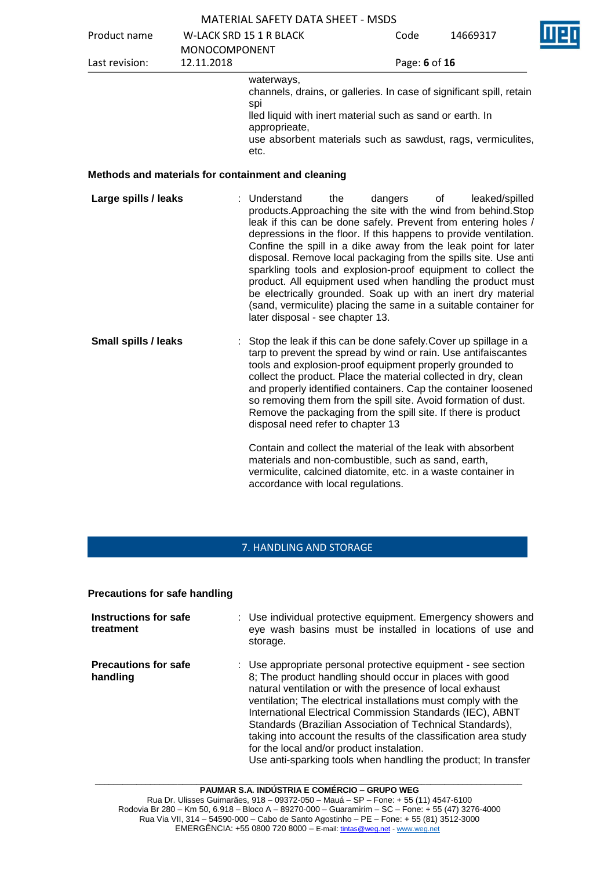|                             |                                    | <b>MATERIAL SAFETY DATA SHEET - MSDS</b>                                                                                                                                                                                                                                                                                                                                                                                                  |         |               |                                                                                                                                                                                                                                                                                                                                                                                                                                                                                                                                                                                                                                      |
|-----------------------------|------------------------------------|-------------------------------------------------------------------------------------------------------------------------------------------------------------------------------------------------------------------------------------------------------------------------------------------------------------------------------------------------------------------------------------------------------------------------------------------|---------|---------------|--------------------------------------------------------------------------------------------------------------------------------------------------------------------------------------------------------------------------------------------------------------------------------------------------------------------------------------------------------------------------------------------------------------------------------------------------------------------------------------------------------------------------------------------------------------------------------------------------------------------------------------|
| Product name                |                                    | <b>W-LACK SRD 15 1 R BLACK</b>                                                                                                                                                                                                                                                                                                                                                                                                            |         | Code          | 14669317                                                                                                                                                                                                                                                                                                                                                                                                                                                                                                                                                                                                                             |
| Last revision:              | <b>MONOCOMPONENT</b><br>12.11.2018 |                                                                                                                                                                                                                                                                                                                                                                                                                                           |         | Page: 6 of 16 |                                                                                                                                                                                                                                                                                                                                                                                                                                                                                                                                                                                                                                      |
|                             |                                    | waterways,<br>spi<br>lled liquid with inert material such as sand or earth. In<br>approprieate,<br>etc.                                                                                                                                                                                                                                                                                                                                   |         |               | channels, drains, or galleries. In case of significant spill, retain<br>use absorbent materials such as sawdust, rags, vermiculites,                                                                                                                                                                                                                                                                                                                                                                                                                                                                                                 |
|                             |                                    | Methods and materials for containment and cleaning                                                                                                                                                                                                                                                                                                                                                                                        |         |               |                                                                                                                                                                                                                                                                                                                                                                                                                                                                                                                                                                                                                                      |
| Large spills / leaks        |                                    | Understand<br>the<br>later disposal - see chapter 13.                                                                                                                                                                                                                                                                                                                                                                                     | dangers |               | leaked/spilled<br>of<br>products. Approaching the site with the wind from behind. Stop<br>leak if this can be done safely. Prevent from entering holes /<br>depressions in the floor. If this happens to provide ventilation.<br>Confine the spill in a dike away from the leak point for later<br>disposal. Remove local packaging from the spills site. Use anti<br>sparkling tools and explosion-proof equipment to collect the<br>product. All equipment used when handling the product must<br>be electrically grounded. Soak up with an inert dry material<br>(sand, vermiculite) placing the same in a suitable container for |
| <b>Small spills / leaks</b> |                                    | Stop the leak if this can be done safely. Cover up spillage in a<br>tarp to prevent the spread by wind or rain. Use antifaiscantes<br>tools and explosion-proof equipment properly grounded to<br>collect the product. Place the material collected in dry, clean<br>so removing them from the spill site. Avoid formation of dust.<br>Remove the packaging from the spill site. If there is product<br>disposal need refer to chapter 13 |         |               | and properly identified containers. Cap the container loosened                                                                                                                                                                                                                                                                                                                                                                                                                                                                                                                                                                       |
|                             |                                    | Contain and collect the material of the leak with absorbent<br>materials and non-combustible, such as sand, earth,<br>vermiculite, calcined diatomite, etc. in a waste container in                                                                                                                                                                                                                                                       |         |               |                                                                                                                                                                                                                                                                                                                                                                                                                                                                                                                                                                                                                                      |

#### 7. HANDLING AND STORAGE

accordance with local regulations.

### **Precautions for safe handling**

| Instructions for safe<br>treatment      | : Use individual protective equipment. Emergency showers and<br>eye wash basins must be installed in locations of use and<br>storage.                                                                                                                                                                                                                                                                                                                                                                                                                                 |
|-----------------------------------------|-----------------------------------------------------------------------------------------------------------------------------------------------------------------------------------------------------------------------------------------------------------------------------------------------------------------------------------------------------------------------------------------------------------------------------------------------------------------------------------------------------------------------------------------------------------------------|
| <b>Precautions for safe</b><br>handling | : Use appropriate personal protective equipment - see section<br>8; The product handling should occur in places with good<br>natural ventilation or with the presence of local exhaust<br>ventilation; The electrical installations must comply with the<br>International Electrical Commission Standards (IEC), ABNT<br>Standards (Brazilian Association of Technical Standards),<br>taking into account the results of the classification area study<br>for the local and/or product instalation.<br>Use anti-sparking tools when handling the product; In transfer |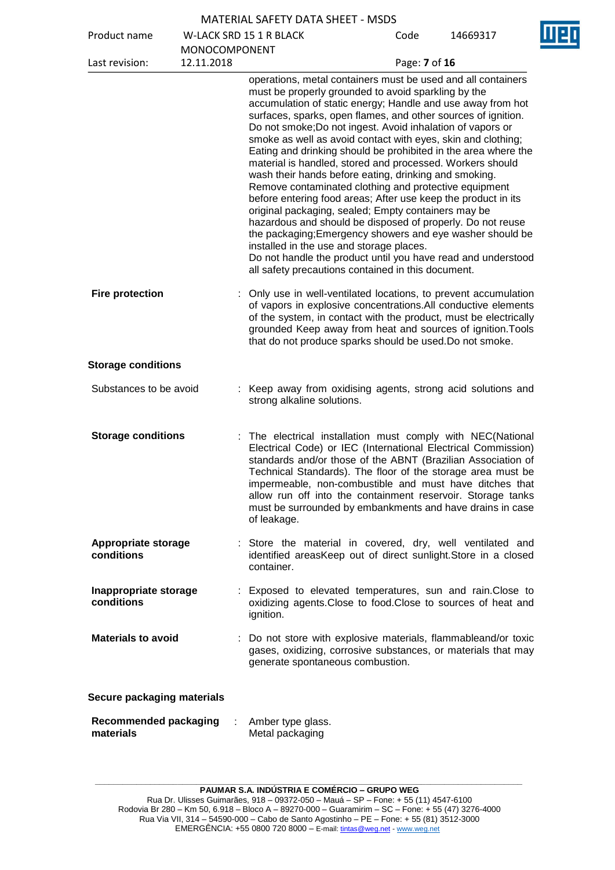| Product name                              |                                    | <b>W-LACK SRD 15 1 R BLACK</b>                                                                                                                                                                                                                                                                                                                                                                                                                                                                                                                                                                                                                                                                                                                                                                                                                                                                                                                                                                                                                          | Code          | 14669317 |
|-------------------------------------------|------------------------------------|---------------------------------------------------------------------------------------------------------------------------------------------------------------------------------------------------------------------------------------------------------------------------------------------------------------------------------------------------------------------------------------------------------------------------------------------------------------------------------------------------------------------------------------------------------------------------------------------------------------------------------------------------------------------------------------------------------------------------------------------------------------------------------------------------------------------------------------------------------------------------------------------------------------------------------------------------------------------------------------------------------------------------------------------------------|---------------|----------|
| Last revision:                            | <b>MONOCOMPONENT</b><br>12.11.2018 |                                                                                                                                                                                                                                                                                                                                                                                                                                                                                                                                                                                                                                                                                                                                                                                                                                                                                                                                                                                                                                                         | Page: 7 of 16 |          |
|                                           |                                    | operations, metal containers must be used and all containers<br>must be properly grounded to avoid sparkling by the<br>accumulation of static energy; Handle and use away from hot<br>surfaces, sparks, open flames, and other sources of ignition.<br>Do not smoke; Do not ingest. Avoid inhalation of vapors or<br>smoke as well as avoid contact with eyes, skin and clothing;<br>Eating and drinking should be prohibited in the area where the<br>material is handled, stored and processed. Workers should<br>wash their hands before eating, drinking and smoking.<br>Remove contaminated clothing and protective equipment<br>before entering food areas; After use keep the product in its<br>original packaging, sealed; Empty containers may be<br>hazardous and should be disposed of properly. Do not reuse<br>the packaging; Emergency showers and eye washer should be<br>installed in the use and storage places.<br>Do not handle the product until you have read and understood<br>all safety precautions contained in this document. |               |          |
| <b>Fire protection</b>                    |                                    | : Only use in well-ventilated locations, to prevent accumulation<br>of vapors in explosive concentrations.All conductive elements<br>of the system, in contact with the product, must be electrically<br>grounded Keep away from heat and sources of ignition. Tools<br>that do not produce sparks should be used. Do not smoke.                                                                                                                                                                                                                                                                                                                                                                                                                                                                                                                                                                                                                                                                                                                        |               |          |
| <b>Storage conditions</b>                 |                                    |                                                                                                                                                                                                                                                                                                                                                                                                                                                                                                                                                                                                                                                                                                                                                                                                                                                                                                                                                                                                                                                         |               |          |
| Substances to be avoid                    |                                    | : Keep away from oxidising agents, strong acid solutions and<br>strong alkaline solutions.                                                                                                                                                                                                                                                                                                                                                                                                                                                                                                                                                                                                                                                                                                                                                                                                                                                                                                                                                              |               |          |
| <b>Storage conditions</b>                 |                                    | : The electrical installation must comply with NEC(National<br>Electrical Code) or IEC (International Electrical Commission)<br>standards and/or those of the ABNT (Brazilian Association of<br>Technical Standards). The floor of the storage area must be<br>impermeable, non-combustible and must have ditches that<br>allow run off into the containment reservoir. Storage tanks<br>must be surrounded by embankments and have drains in case<br>of leakage.                                                                                                                                                                                                                                                                                                                                                                                                                                                                                                                                                                                       |               |          |
| <b>Appropriate storage</b><br>conditions  |                                    | : Store the material in covered, dry, well ventilated and<br>identified areasKeep out of direct sunlight.Store in a closed<br>container.                                                                                                                                                                                                                                                                                                                                                                                                                                                                                                                                                                                                                                                                                                                                                                                                                                                                                                                |               |          |
| Inappropriate storage<br>conditions       |                                    | : Exposed to elevated temperatures, sun and rain. Close to<br>oxidizing agents. Close to food. Close to sources of heat and<br>ignition.                                                                                                                                                                                                                                                                                                                                                                                                                                                                                                                                                                                                                                                                                                                                                                                                                                                                                                                |               |          |
| <b>Materials to avoid</b>                 |                                    | : Do not store with explosive materials, flammableand/or toxic<br>gases, oxidizing, corrosive substances, or materials that may<br>generate spontaneous combustion.                                                                                                                                                                                                                                                                                                                                                                                                                                                                                                                                                                                                                                                                                                                                                                                                                                                                                     |               |          |
| Secure packaging materials                |                                    |                                                                                                                                                                                                                                                                                                                                                                                                                                                                                                                                                                                                                                                                                                                                                                                                                                                                                                                                                                                                                                                         |               |          |
| <b>Recommended packaging</b><br>materials | ÷                                  | Amber type glass.<br>Metal packaging                                                                                                                                                                                                                                                                                                                                                                                                                                                                                                                                                                                                                                                                                                                                                                                                                                                                                                                                                                                                                    |               |          |

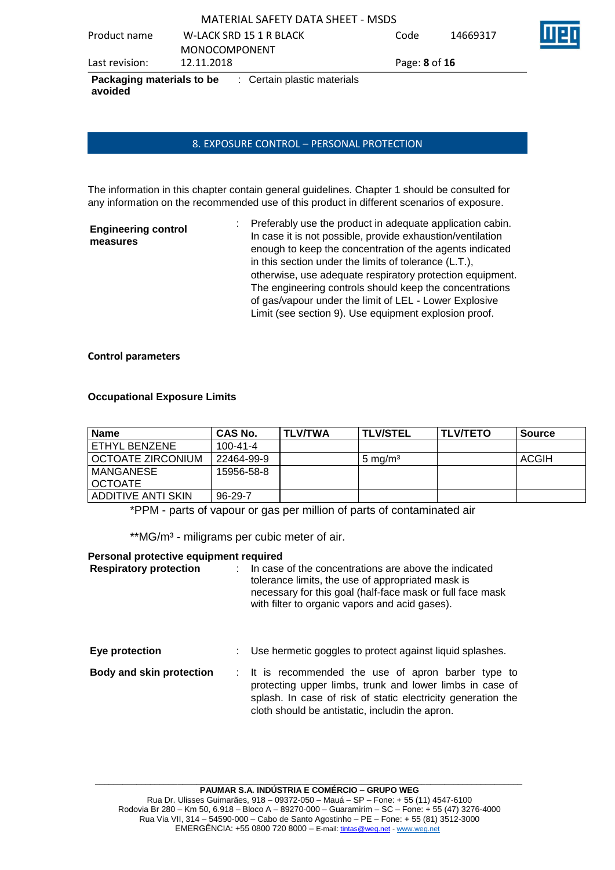| Packaging materials to be<br>avoided | : Certain plastic materials              |               |          |     |
|--------------------------------------|------------------------------------------|---------------|----------|-----|
| Last revision:                       | 12.11.2018                               | Page: 8 of 16 |          |     |
|                                      | <b>MONOCOMPONENT</b>                     |               |          |     |
| Product name                         | W-LACK SRD 15 1 R BLACK                  | Code          | 14669317 | Mer |
|                                      | <b>MATERIAL SAFETY DATA SHEET - MSDS</b> |               |          |     |

#### 8. EXPOSURE CONTROL – PERSONAL PROTECTION

The information in this chapter contain general guidelines. Chapter 1 should be consulted for any information on the recommended use of this product in different scenarios of exposure.

| <b>Engineering control</b><br>measures | Preferably use the product in adequate application cabin.<br>In case it is not possible, provide exhaustion/ventilation |
|----------------------------------------|-------------------------------------------------------------------------------------------------------------------------|
|                                        | enough to keep the concentration of the agents indicated                                                                |
|                                        | in this section under the limits of tolerance (L.T.),                                                                   |
|                                        | otherwise, use adequate respiratory protection equipment.                                                               |
|                                        | The engineering controls should keep the concentrations                                                                 |
|                                        | of gas/vapour under the limit of LEL - Lower Explosive                                                                  |
|                                        | Limit (see section 9). Use equipment explosion proof.                                                                   |

#### **Control parameters**

#### **Occupational Exposure Limits**

| <b>Name</b>               | CAS No.        | TLV/TWA | <b>TLV/STEL</b>    | <b>TLV/TETO</b> | <b>Source</b> |
|---------------------------|----------------|---------|--------------------|-----------------|---------------|
| ETHYL BENZENE             | $100 - 41 - 4$ |         |                    |                 |               |
| I OCTOATE ZIRCONIUM       | 22464-99-9     |         | $5 \text{ mg/m}^3$ |                 | ACGIH         |
| MANGANESE                 | 15956-58-8     |         |                    |                 |               |
| <b>OCTOATE</b>            |                |         |                    |                 |               |
| <b>ADDITIVE ANTI SKIN</b> | $96-29-7$      |         |                    |                 |               |

\*PPM - parts of vapour or gas per million of parts of contaminated air

\*\*MG/m<sup>3</sup> - miligrams per cubic meter of air.

#### **Personal protective equipment required**

| <b>Respiratory protection</b> |  | In case of the concentrations are above the indicated<br>tolerance limits, the use of appropriated mask is<br>necessary for this goal (half-face mask or full face mask<br>with filter to organic vapors and acid gases).          |
|-------------------------------|--|------------------------------------------------------------------------------------------------------------------------------------------------------------------------------------------------------------------------------------|
| Eye protection                |  | Use hermetic goggles to protect against liquid splashes.                                                                                                                                                                           |
| Body and skin protection      |  | : It is recommended the use of apron barber type to<br>protecting upper limbs, trunk and lower limbs in case of<br>splash. In case of risk of static electricity generation the<br>cloth should be antistatic, includin the apron. |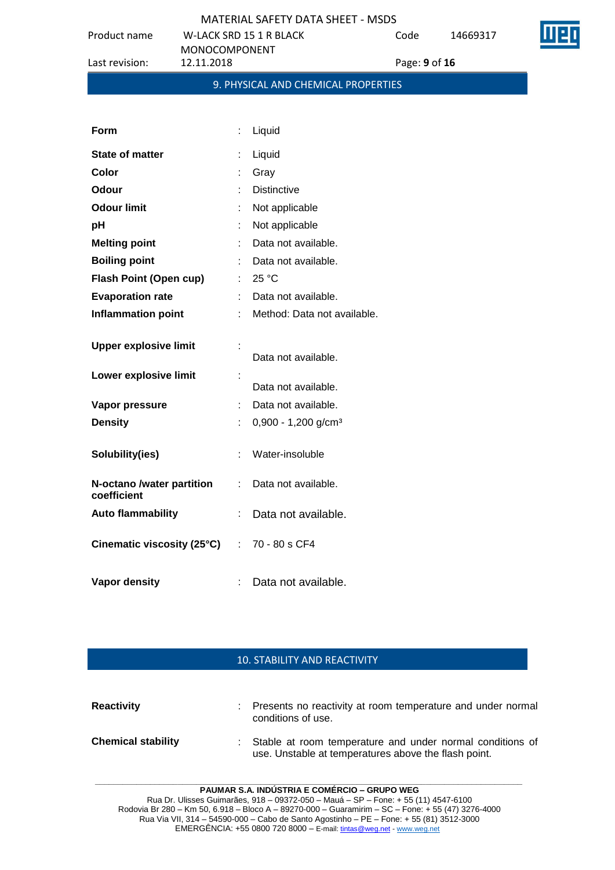Product name W-LACK SRD 15 1 R BLACK

Code 14669317



|                               | <b>MONOCOMPONENT</b> |                                     |
|-------------------------------|----------------------|-------------------------------------|
| Last revision:                | 12.11.2018           | Page: 9 of 16                       |
|                               |                      | 9. PHYSICAL AND CHEMICAL PROPERTIES |
|                               |                      |                                     |
| <b>Form</b>                   | Liquid<br>÷          |                                     |
| <b>State of matter</b>        | Liquid               |                                     |
| Color                         | Gray                 |                                     |
| Odour                         | <b>Distinctive</b>   |                                     |
| <b>Odour limit</b>            |                      | Not applicable                      |
| pH                            |                      | Not applicable                      |
| <b>Melting point</b>          |                      | Data not available.                 |
| <b>Boiling point</b>          |                      | Data not available.                 |
| <b>Flash Point (Open cup)</b> | 25 °C                |                                     |
| <b>Evaporation rate</b>       |                      | Data not available.                 |
| <b>Inflammation point</b>     |                      | Method: Data not available.         |
| <b>Upper explosive limit</b>  |                      |                                     |

|                                                     |     | Data not available.               |
|-----------------------------------------------------|-----|-----------------------------------|
| Lower explosive limit                               | ÷   |                                   |
|                                                     |     | Data not available.               |
| Vapor pressure                                      |     | Data not available.               |
| <b>Density</b>                                      |     | $0,900 - 1,200$ g/cm <sup>3</sup> |
|                                                     |     |                                   |
| Solubility(ies)                                     | t.  | Water-insoluble                   |
|                                                     |     |                                   |
| N-octano /water partition<br>coefficient            | × 1 | Data not available.               |
| <b>Auto flammability</b>                            | t.  | Data not available.               |
|                                                     |     |                                   |
| Cinematic viscosity $(25^{\circ}C)$ : 70 - 80 s CF4 |     |                                   |
|                                                     |     |                                   |
| Vapor density                                       |     | Data not available.               |

### 10. STABILITY AND REACTIVITY

| <b>Reactivity</b>         | : Presents no reactivity at room temperature and under normal<br>conditions of use.                                 |
|---------------------------|---------------------------------------------------------------------------------------------------------------------|
| <b>Chemical stability</b> | : Stable at room temperature and under normal conditions of<br>use. Unstable at temperatures above the flash point. |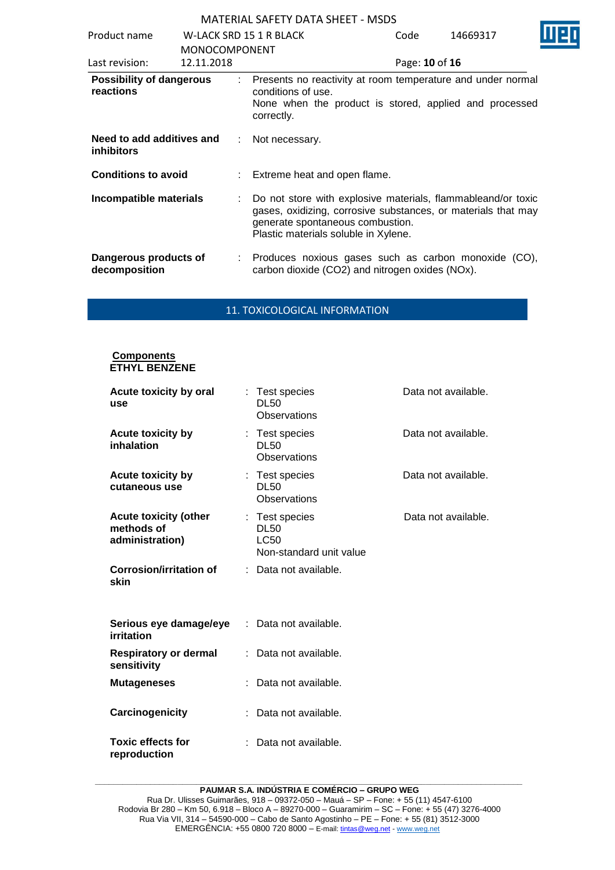| Product name                                   |                                    | W-LACK SRD 15 1 R BLACK          | Code                                                                                                                                                                                                      | 14669317       |  |
|------------------------------------------------|------------------------------------|----------------------------------|-----------------------------------------------------------------------------------------------------------------------------------------------------------------------------------------------------------|----------------|--|
| Last revision:                                 | <b>MONOCOMPONENT</b><br>12.11.2018 |                                  |                                                                                                                                                                                                           | Page: 10 of 16 |  |
| <b>Possibility of dangerous</b><br>reactions   |                                    | conditions of use.<br>correctly. | Presents no reactivity at room temperature and under normal<br>None when the product is stored, applied and processed                                                                                     |                |  |
| Need to add additives and<br><i>inhibitors</i> | ÷                                  | Not necessary.                   |                                                                                                                                                                                                           |                |  |
| <b>Conditions to avoid</b>                     |                                    | Extreme heat and open flame.     |                                                                                                                                                                                                           |                |  |
| Incompatible materials                         |                                    | t.                               | Do not store with explosive materials, flammableand/or toxic<br>gases, oxidizing, corrosive substances, or materials that may<br>generate spontaneous combustion.<br>Plastic materials soluble in Xylene. |                |  |
| Dangerous products of<br>decomposition         |                                    |                                  | Produces noxious gases such as carbon monoxide (CO),<br>carbon dioxide (CO2) and nitrogen oxides (NOx).                                                                                                   |                |  |

#### 11. TOXICOLOGICAL INFORMATION

#### **Components ETHYL BENZENE**

| Acute toxicity by oral<br>use                                 | : Test species<br><b>DL50</b><br>Observations                    | Data not available. |
|---------------------------------------------------------------|------------------------------------------------------------------|---------------------|
| <b>Acute toxicity by</b><br>inhalation                        | : Test species<br><b>DL50</b><br>Observations                    | Data not available. |
| <b>Acute toxicity by</b><br>cutaneous use                     | : Test species<br><b>DL50</b><br>Observations                    | Data not available. |
| <b>Acute toxicity (other</b><br>methods of<br>administration) | : Test species<br><b>DL50</b><br>LC50<br>Non-standard unit value | Data not available. |
| <b>Corrosion/irritation of</b><br>skin                        | Data not available.                                              |                     |
| Serious eye damage/eye<br>irritation                          | : Data not available.                                            |                     |
| <b>Respiratory or dermal</b><br>sensitivity                   | Data not available.                                              |                     |
| <b>Mutageneses</b>                                            | Data not available.                                              |                     |
| Carcinogenicity                                               | Data not available.                                              |                     |
| <b>Toxic effects for</b><br>reproduction                      | Data not available.                                              |                     |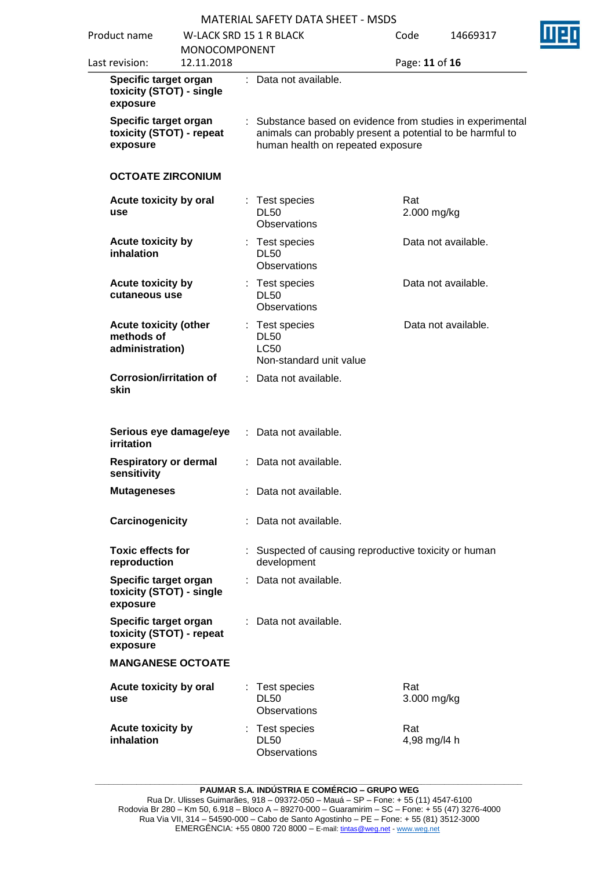|                                                               |                          |                                | KIATLINIAL JAI LITTUATA JITLET " MIJUJ                                                         |      |                                                          |
|---------------------------------------------------------------|--------------------------|--------------------------------|------------------------------------------------------------------------------------------------|------|----------------------------------------------------------|
| Product name                                                  |                          | <b>W-LACK SRD 15 1 R BLACK</b> |                                                                                                | Code | 14669317                                                 |
|                                                               | MONOCOMPONENT            |                                |                                                                                                |      |                                                          |
| Last revision:                                                | 12.11.2018               |                                |                                                                                                |      | Page: 11 of 16                                           |
| Specific target organ<br>exposure                             | toxicity (STOT) - single |                                | : Data not available.                                                                          |      |                                                          |
| Specific target organ<br>toxicity (STOT) - repeat<br>exposure |                          |                                | animals can probably present a potential to be harmful to<br>human health on repeated exposure |      | Substance based on evidence from studies in experimental |
|                                                               | <b>OCTOATE ZIRCONIUM</b> |                                |                                                                                                |      |                                                          |
| Acute toxicity by oral<br>use                                 |                          |                                | : Test species<br><b>DL50</b><br>Observations                                                  | Rat  | 2.000 mg/kg                                              |
| <b>Acute toxicity by</b><br>inhalation                        |                          |                                | Test species<br><b>DL50</b><br><b>Observations</b>                                             |      | Data not available.                                      |
| <b>Acute toxicity by</b><br>cutaneous use                     |                          |                                | : Test species<br><b>DL50</b><br><b>Observations</b>                                           |      | Data not available.                                      |
| <b>Acute toxicity (other</b><br>methods of<br>administration) |                          |                                | : Test species<br><b>DL50</b><br><b>LC50</b><br>Non-standard unit value                        |      | Data not available.                                      |
| <b>Corrosion/irritation of</b><br>skin                        |                          |                                | : Data not available.                                                                          |      |                                                          |
| <b>irritation</b>                                             | Serious eye damage/eye   |                                | : Data not available.                                                                          |      |                                                          |
| <b>Respiratory or dermal</b><br>sensitivity                   |                          |                                | : Data not available.                                                                          |      |                                                          |
| <b>Mutageneses</b>                                            |                          |                                | Data not available.                                                                            |      |                                                          |
| Carcinogenicity                                               |                          |                                | Data not available.                                                                            |      |                                                          |
| <b>Toxic effects for</b><br>reproduction                      |                          |                                | : Suspected of causing reproductive toxicity or human<br>development                           |      |                                                          |
| Specific target organ<br>exposure                             | toxicity (STOT) - single |                                | Data not available.                                                                            |      |                                                          |
| Specific target organ<br>exposure                             | toxicity (STOT) - repeat |                                | Data not available.                                                                            |      |                                                          |
|                                                               | <b>MANGANESE OCTOATE</b> |                                |                                                                                                |      |                                                          |
| Acute toxicity by oral<br>use                                 |                          |                                | Test species<br><b>DL50</b><br><b>Observations</b>                                             | Rat  | 3.000 mg/kg                                              |
| <b>Acute toxicity by</b><br>inhalation                        |                          |                                | Test species<br><b>DL50</b><br>Observations                                                    | Rat  | 4,98 mg/l4 h                                             |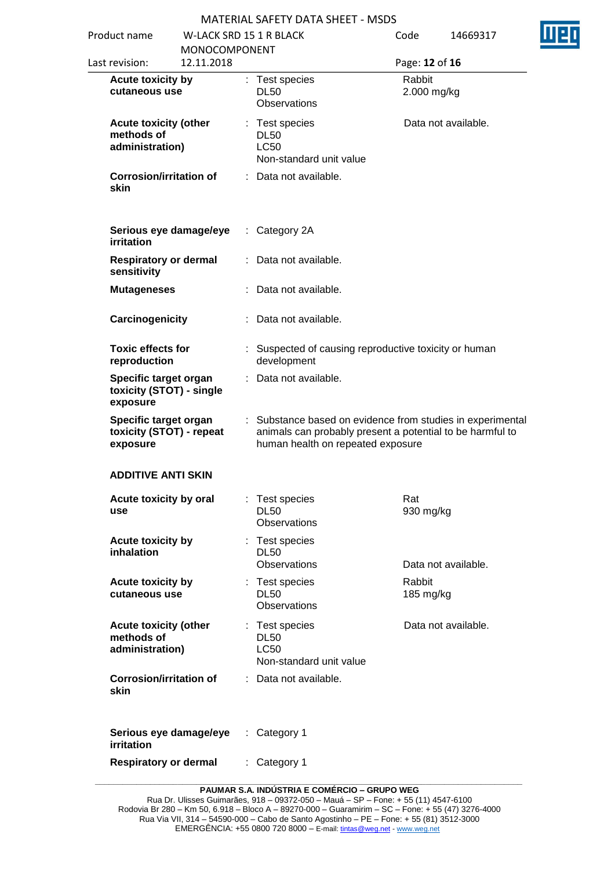| Product name<br><b>MONOCOMPONENT</b><br>12.11.2018<br>Last revision: |  | <b>W-LACK SRD 15 1 R BLACK</b> |                                                                                                                                                            | Code<br>14669317<br>Page: 12 of 16 |                     |  |
|----------------------------------------------------------------------|--|--------------------------------|------------------------------------------------------------------------------------------------------------------------------------------------------------|------------------------------------|---------------------|--|
| Acute toxicity by<br>cutaneous use                                   |  |                                | : Test species<br><b>DL50</b><br>Observations                                                                                                              | Rabbit<br>2.000 mg/kg              |                     |  |
| <b>Acute toxicity (other</b><br>methods of<br>administration)        |  |                                | : Test species<br><b>DL50</b><br><b>LC50</b><br>Non-standard unit value                                                                                    |                                    | Data not available. |  |
| <b>Corrosion/irritation of</b><br>skin                               |  |                                | : Data not available.                                                                                                                                      |                                    |                     |  |
| Serious eye damage/eye<br>irritation                                 |  | ÷                              | Category 2A                                                                                                                                                |                                    |                     |  |
| <b>Respiratory or dermal</b><br>sensitivity                          |  |                                | Data not available.                                                                                                                                        |                                    |                     |  |
| <b>Mutageneses</b>                                                   |  |                                | Data not available.                                                                                                                                        |                                    |                     |  |
| Carcinogenicity                                                      |  |                                | Data not available.                                                                                                                                        |                                    |                     |  |
| <b>Toxic effects for</b><br>reproduction                             |  |                                | : Suspected of causing reproductive toxicity or human<br>development                                                                                       |                                    |                     |  |
| Specific target organ<br>toxicity (STOT) - single<br>exposure        |  |                                | Data not available.                                                                                                                                        |                                    |                     |  |
| Specific target organ<br>toxicity (STOT) - repeat<br>exposure        |  |                                | Substance based on evidence from studies in experimental<br>animals can probably present a potential to be harmful to<br>human health on repeated exposure |                                    |                     |  |
| <b>ADDITIVE ANTI SKIN</b>                                            |  |                                |                                                                                                                                                            |                                    |                     |  |
| Acute toxicity by oral<br>use                                        |  |                                | Test species<br><b>DL50</b><br><b>Observations</b>                                                                                                         | Rat<br>930 mg/kg                   |                     |  |
| Acute toxicity by<br>inhalation                                      |  |                                | : Test species<br><b>DL50</b><br>Observations                                                                                                              |                                    | Data not available. |  |
| Acute toxicity by<br>cutaneous use                                   |  | ÷                              | Test species<br><b>DL50</b><br>Observations                                                                                                                | Rabbit<br>185 mg/kg                |                     |  |
| <b>Acute toxicity (other</b><br>methods of<br>administration)        |  |                                | : Test species<br><b>DL50</b><br><b>LC50</b><br>Non-standard unit value                                                                                    |                                    | Data not available. |  |
| <b>Corrosion/irritation of</b><br>skin                               |  |                                | : Data not available.                                                                                                                                      |                                    |                     |  |
| Serious eye damage/eye<br>irritation                                 |  | ÷                              | Category 1                                                                                                                                                 |                                    |                     |  |
| <b>Respiratory or dermal</b>                                         |  |                                | Category 1                                                                                                                                                 |                                    |                     |  |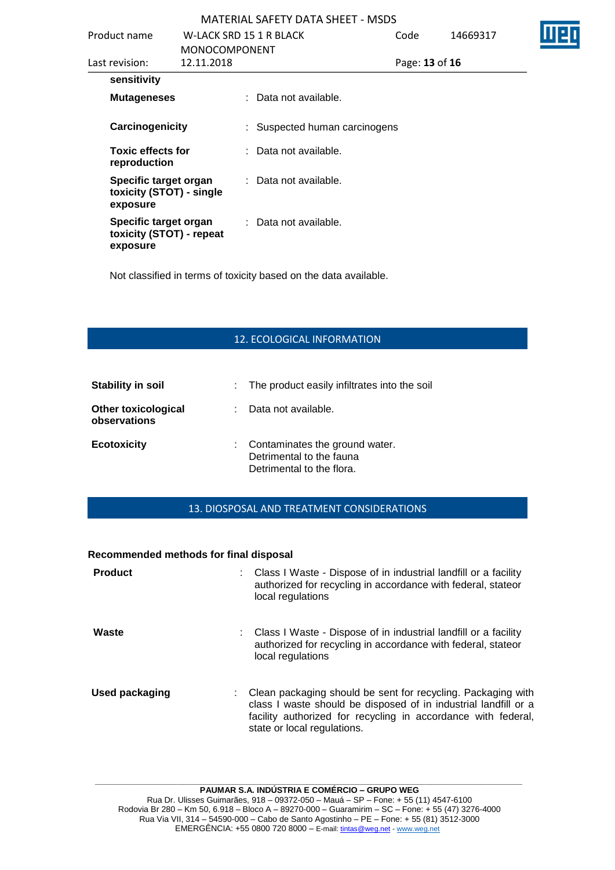| Product name                                                  |                      | W-LACK SRD 15 1 R BLACK          | Code           | 14669317 |
|---------------------------------------------------------------|----------------------|----------------------------------|----------------|----------|
|                                                               | <b>MONOCOMPONENT</b> |                                  |                |          |
| Last revision:                                                | 12.11.2018           |                                  | Page: 13 of 16 |          |
| sensitivity                                                   |                      |                                  |                |          |
| <b>Mutageneses</b>                                            |                      | : Data not available.            |                |          |
| Carcinogenicity                                               |                      | : Suspected human carcinogens    |                |          |
| <b>Toxic effects for</b><br>reproduction                      |                      | $\therefore$ Data not available. |                |          |
| Specific target organ<br>toxicity (STOT) - single<br>exposure |                      | : Data not available.            |                |          |
| Specific target organ<br>toxicity (STOT) - repeat<br>exposure |                      | : Data not available.            |                |          |

Not classified in terms of toxicity based on the data available.

## 12. ECOLOGICAL INFORMATION

| <b>Stability in soil</b>                   | : The product easily infiltrates into the soil                                            |
|--------------------------------------------|-------------------------------------------------------------------------------------------|
| <b>Other toxicological</b><br>observations | Data not available.                                                                       |
| <b>Ecotoxicity</b>                         | : Contaminates the ground water.<br>Detrimental to the fauna<br>Detrimental to the flora. |

#### 13. DIOSPOSAL AND TREATMENT CONSIDERATIONS

#### **Recommended methods for final disposal**

| <b>Product</b>        | : Class I Waste - Dispose of in industrial landfill or a facility<br>authorized for recycling in accordance with federal, stateor<br>local regulations                                                                          |
|-----------------------|---------------------------------------------------------------------------------------------------------------------------------------------------------------------------------------------------------------------------------|
| Waste                 | : Class I Waste - Dispose of in industrial landfill or a facility<br>authorized for recycling in accordance with federal, stateor<br>local regulations                                                                          |
| <b>Used packaging</b> | Clean packaging should be sent for recycling. Packaging with<br>class I waste should be disposed of in industrial landfill or a<br>facility authorized for recycling in accordance with federal,<br>state or local regulations. |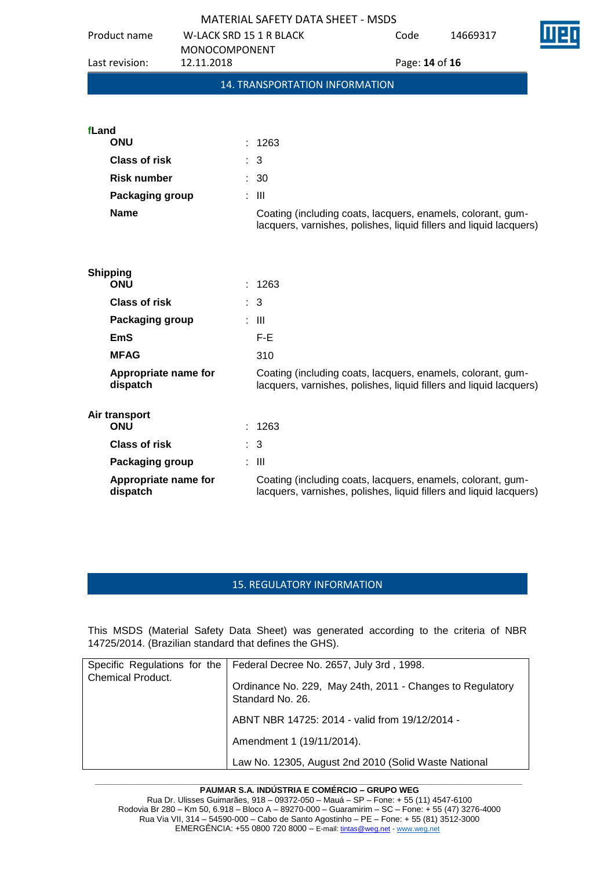|                                  |                                    | <b>MATERIAL SAFETY DATA SHEET - MSDS</b>                                                                                          |      |                |  |  |
|----------------------------------|------------------------------------|-----------------------------------------------------------------------------------------------------------------------------------|------|----------------|--|--|
| Product name                     | <b>W-LACK SRD 15 1 R BLACK</b>     |                                                                                                                                   | Code | 14669317       |  |  |
| Last revision:                   | <b>MONOCOMPONENT</b><br>12.11.2018 |                                                                                                                                   |      | Page: 14 of 16 |  |  |
|                                  |                                    | 14. TRANSPORTATION INFORMATION                                                                                                    |      |                |  |  |
|                                  |                                    |                                                                                                                                   |      |                |  |  |
| fLand                            |                                    |                                                                                                                                   |      |                |  |  |
| <b>ONU</b>                       |                                    | 1263                                                                                                                              |      |                |  |  |
| <b>Class of risk</b>             |                                    | 3                                                                                                                                 |      |                |  |  |
| <b>Risk number</b>               |                                    | : 30                                                                                                                              |      |                |  |  |
| Packaging group                  |                                    | $\therefore$ $\blacksquare$                                                                                                       |      |                |  |  |
| <b>Name</b>                      |                                    | Coating (including coats, lacquers, enamels, colorant, gum-<br>lacquers, varnishes, polishes, liquid fillers and liquid lacquers) |      |                |  |  |
|                                  |                                    |                                                                                                                                   |      |                |  |  |
| <b>Shipping</b><br><b>ONU</b>    |                                    | 1263                                                                                                                              |      |                |  |  |
| <b>Class of risk</b>             |                                    | 3                                                                                                                                 |      |                |  |  |
| Packaging group                  |                                    | $\therefore$ III                                                                                                                  |      |                |  |  |
| <b>EmS</b>                       |                                    | $F-E$                                                                                                                             |      |                |  |  |
| <b>MFAG</b>                      |                                    | 310                                                                                                                               |      |                |  |  |
| Appropriate name for<br>dispatch |                                    | Coating (including coats, lacquers, enamels, colorant, gum-<br>lacquers, varnishes, polishes, liquid fillers and liquid lacquers) |      |                |  |  |
| Air transport<br><b>ONU</b>      |                                    | 1263                                                                                                                              |      |                |  |  |
| <b>Class of risk</b>             |                                    | : 3                                                                                                                               |      |                |  |  |
| Packaging group                  |                                    | : III                                                                                                                             |      |                |  |  |
| Appropriate name for<br>dispatch |                                    | Coating (including coats, lacquers, enamels, colorant, gum-<br>lacquers, varnishes, polishes, liquid fillers and liquid lacquers) |      |                |  |  |

# 15. REGULATORY INFORMATION

This MSDS (Material Safety Data Sheet) was generated according to the criteria of NBR 14725/2014. (Brazilian standard that defines the GHS).

| Specific Regulations for the<br><b>Chemical Product.</b> | Federal Decree No. 2657, July 3rd, 1998.<br>Ordinance No. 229, May 24th, 2011 - Changes to Regulatory |
|----------------------------------------------------------|-------------------------------------------------------------------------------------------------------|
|                                                          | Standard No. 26.<br>ABNT NBR 14725: 2014 - valid from 19/12/2014 -                                    |
|                                                          | Amendment 1 (19/11/2014).                                                                             |
|                                                          | Law No. 12305, August 2nd 2010 (Solid Waste National                                                  |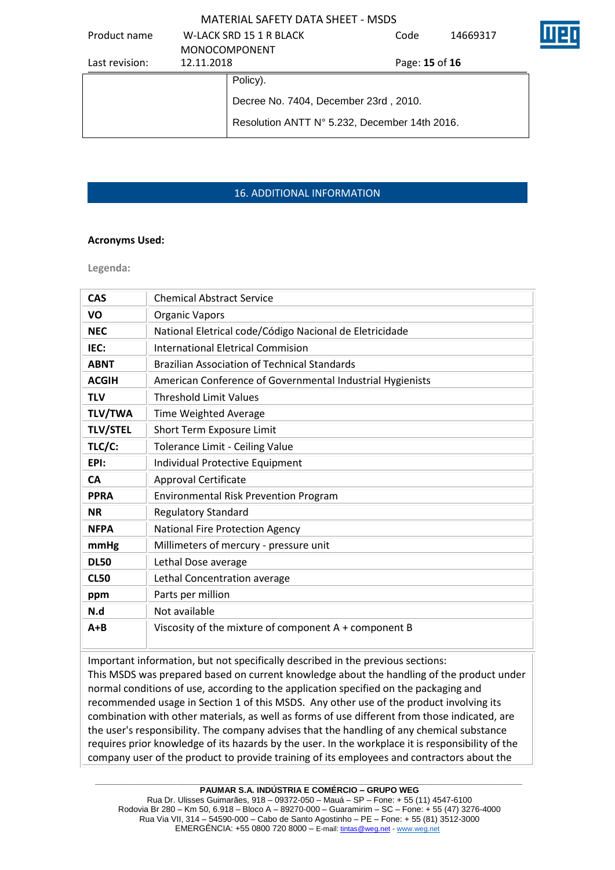| Product name   |                      | W-LACK SRD 15 1 R BLACK                       | Code           | 14669317 |  |
|----------------|----------------------|-----------------------------------------------|----------------|----------|--|
|                | <b>MONOCOMPONENT</b> |                                               |                |          |  |
| Last revision: | 12.11.2018           |                                               | Page: 15 of 16 |          |  |
|                |                      | Policy).                                      |                |          |  |
|                |                      | Decree No. 7404, December 23rd, 2010.         |                |          |  |
|                |                      | Resolution ANTT N° 5.232, December 14th 2016. |                |          |  |

## 16. ADDITIONAL INFORMATION

#### **Acronyms Used:**

**Legenda:**

| <b>CAS</b>      | <b>Chemical Abstract Service</b>                          |
|-----------------|-----------------------------------------------------------|
| <b>VO</b>       | <b>Organic Vapors</b>                                     |
| <b>NEC</b>      | National Eletrical code/Código Nacional de Eletricidade   |
| IEC:            | <b>International Eletrical Commision</b>                  |
| <b>ABNT</b>     | <b>Brazilian Association of Technical Standards</b>       |
| <b>ACGIH</b>    | American Conference of Governmental Industrial Hygienists |
| <b>TLV</b>      | <b>Threshold Limit Values</b>                             |
| <b>TLV/TWA</b>  | Time Weighted Average                                     |
| <b>TLV/STEL</b> | Short Term Exposure Limit                                 |
| TLC/C:          | Tolerance Limit - Ceiling Value                           |
| EPI:            | Individual Protective Equipment                           |
| <b>CA</b>       | Approval Certificate                                      |
| <b>PPRA</b>     | <b>Environmental Risk Prevention Program</b>              |
| <b>NR</b>       | <b>Regulatory Standard</b>                                |
| <b>NFPA</b>     | National Fire Protection Agency                           |
| mmHg            | Millimeters of mercury - pressure unit                    |
| <b>DL50</b>     | Lethal Dose average                                       |
| <b>CL50</b>     | Lethal Concentration average                              |
| ppm             | Parts per million                                         |
| N.d             | Not available                                             |
| $A + B$         | Viscosity of the mixture of component A + component B     |

Important information, but not specifically described in the previous sections: This MSDS was prepared based on current knowledge about the handling of the product under normal conditions of use, according to the application specified on the packaging and recommended usage in Section 1 of this MSDS. Any other use of the product involving its combination with other materials, as well as forms of use different from those indicated, are the user's responsibility. The company advises that the handling of any chemical substance requires prior knowledge of its hazards by the user. In the workplace it is responsibility of the company user of the product to provide training of its employees and contractors about the